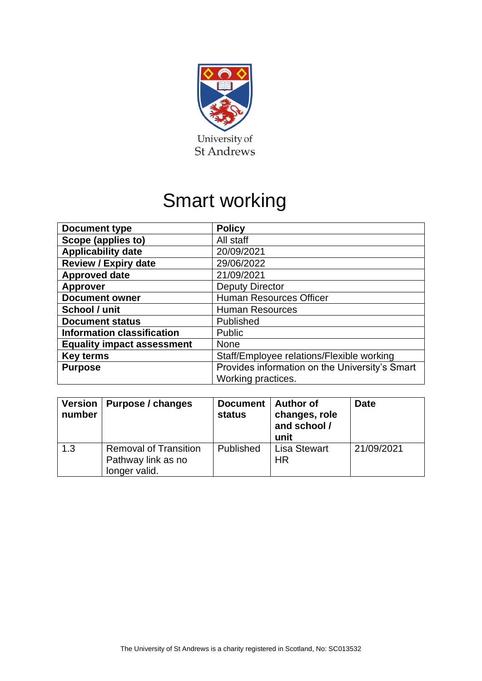

# Smart working

| <b>Document type</b>              | <b>Policy</b>                                  |  |
|-----------------------------------|------------------------------------------------|--|
| Scope (applies to)                | All staff                                      |  |
| <b>Applicability date</b>         | 20/09/2021                                     |  |
| <b>Review / Expiry date</b>       | 29/06/2022                                     |  |
| <b>Approved date</b>              | 21/09/2021                                     |  |
| <b>Approver</b>                   | <b>Deputy Director</b>                         |  |
| <b>Document owner</b>             | <b>Human Resources Officer</b>                 |  |
| School / unit                     | <b>Human Resources</b>                         |  |
| <b>Document status</b>            | Published                                      |  |
| <b>Information classification</b> | Public                                         |  |
| <b>Equality impact assessment</b> | <b>None</b>                                    |  |
| <b>Key terms</b>                  | Staff/Employee relations/Flexible working      |  |
| <b>Purpose</b>                    | Provides information on the University's Smart |  |
|                                   | Working practices.                             |  |

| number | Version   Purpose / changes                                         | Document   Author of<br>status | changes, role<br>and school /<br>unit | <b>Date</b> |
|--------|---------------------------------------------------------------------|--------------------------------|---------------------------------------|-------------|
| 1.3    | <b>Removal of Transition</b><br>Pathway link as no<br>longer valid. | Published                      | <b>Lisa Stewart</b><br><b>HR</b>      | 21/09/2021  |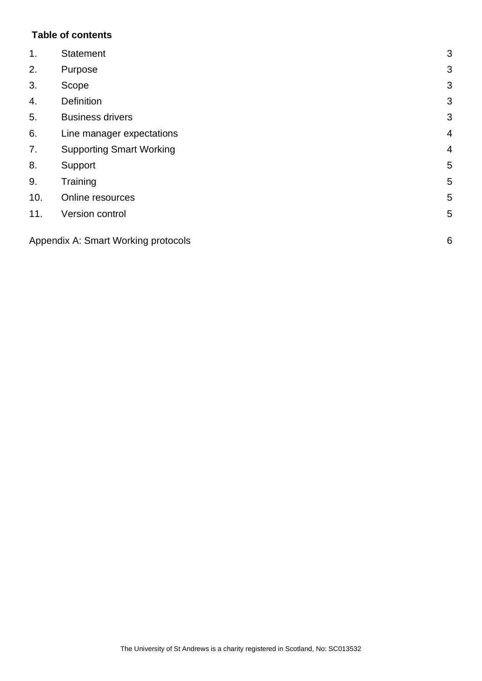## **Table of contents**

| 1.  | <b>Statement</b>                    | 3              |
|-----|-------------------------------------|----------------|
| 2.  | Purpose                             | 3              |
| 3.  | Scope                               | 3              |
| 4.  | <b>Definition</b>                   | 3              |
| 5.  | <b>Business drivers</b>             | 3              |
| 6.  | Line manager expectations           | $\overline{4}$ |
| 7.  | <b>Supporting Smart Working</b>     | $\overline{4}$ |
| 8.  | Support                             | 5              |
| 9.  | Training                            | 5              |
| 10. | Online resources                    | 5              |
| 11. | Version control                     | 5              |
|     | Appendix A: Smart Working protocols | 6              |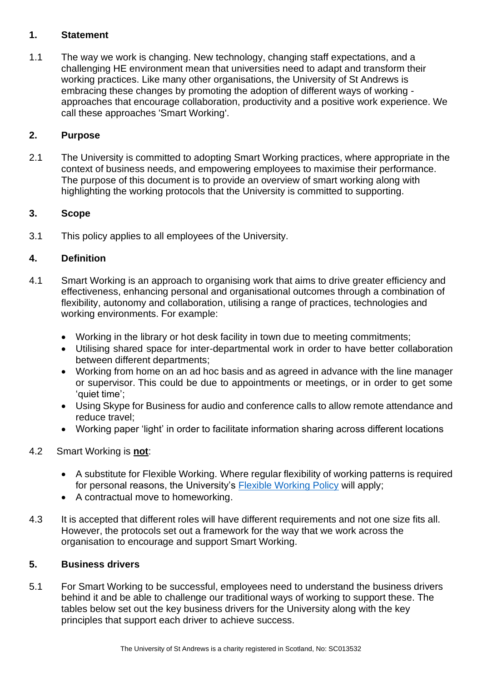## <span id="page-2-0"></span>**1. Statement**

1.1 The way we work is changing. New technology, changing staff expectations, and a challenging HE environment mean that universities need to adapt and transform their working practices. Like many other organisations, the University of St Andrews is embracing these changes by promoting the adoption of different ways of working approaches that encourage collaboration, productivity and a positive work experience. We call these approaches 'Smart Working'.

## <span id="page-2-1"></span>**2. Purpose**

2.1 The University is committed to adopting Smart Working practices, where appropriate in the context of business needs, and empowering employees to maximise their performance. The purpose of this document is to provide an overview of smart working along with highlighting the working protocols that the University is committed to supporting.

## <span id="page-2-2"></span>**3. Scope**

3.1 This policy applies to all employees of the University.

## <span id="page-2-3"></span>**4. Definition**

- 4.1 Smart Working is an approach to organising work that aims to drive greater efficiency and effectiveness, enhancing personal and organisational outcomes through a combination of flexibility, autonomy and collaboration, utilising a range of practices, technologies and working environments. For example:
	- Working in the library or hot desk facility in town due to meeting commitments;
	- Utilising shared space for inter-departmental work in order to have better collaboration between different departments;
	- Working from home on an ad hoc basis and as agreed in advance with the line manager or supervisor. This could be due to appointments or meetings, or in order to get some 'quiet time';
	- Using Skype for Business for audio and conference calls to allow remote attendance and reduce travel;
	- Working paper 'light' in order to facilitate information sharing across different locations

#### 4.2 Smart Working is **not**:

- A substitute for Flexible Working. Where regular flexibility of working patterns is required for personal reasons, the University's [Flexible Working Policy](https://www.st-andrews.ac.uk/policy/staff-employee-relations-flexible-working/flexible-working-policy.pdf) will apply;
- A contractual move to homeworking.
- 4.3 It is accepted that different roles will have different requirements and not one size fits all. However, the protocols set out a framework for the way that we work across the organisation to encourage and support Smart Working.

#### <span id="page-2-4"></span>**5. Business drivers**

5.1 For Smart Working to be successful, employees need to understand the business drivers behind it and be able to challenge our traditional ways of working to support these. The tables below set out the key business drivers for the University along with the key principles that support each driver to achieve success.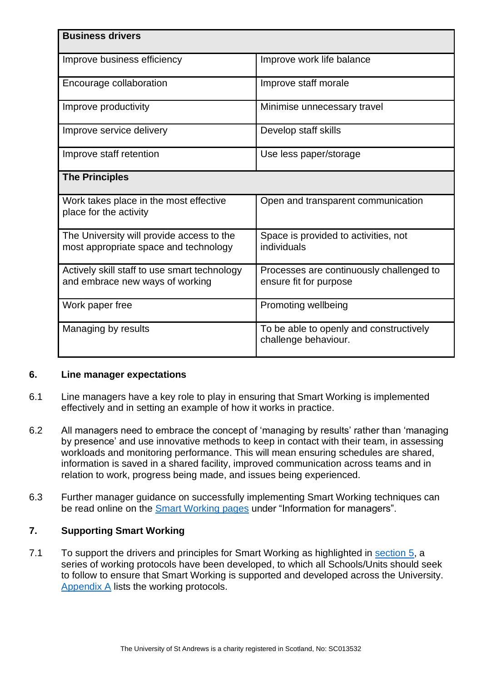| <b>Business drivers</b>                                                            |                                                                    |  |  |
|------------------------------------------------------------------------------------|--------------------------------------------------------------------|--|--|
| Improve business efficiency                                                        | Improve work life balance                                          |  |  |
| Encourage collaboration                                                            | Improve staff morale                                               |  |  |
| Improve productivity                                                               | Minimise unnecessary travel                                        |  |  |
| Improve service delivery                                                           | Develop staff skills                                               |  |  |
| Improve staff retention                                                            | Use less paper/storage                                             |  |  |
| <b>The Principles</b>                                                              |                                                                    |  |  |
| Work takes place in the most effective<br>place for the activity                   | Open and transparent communication                                 |  |  |
| The University will provide access to the<br>most appropriate space and technology | Space is provided to activities, not<br>individuals                |  |  |
| Actively skill staff to use smart technology<br>and embrace new ways of working    | Processes are continuously challenged to<br>ensure fit for purpose |  |  |
| Work paper free                                                                    | Promoting wellbeing                                                |  |  |
| Managing by results                                                                | To be able to openly and constructively<br>challenge behaviour.    |  |  |

#### <span id="page-3-0"></span>**6. Line manager expectations**

- 6.1 Line managers have a key role to play in ensuring that Smart Working is implemented effectively and in setting an example of how it works in practice.
- 6.2 All managers need to embrace the concept of 'managing by results' rather than 'managing by presence' and use innovative methods to keep in contact with their team, in assessing workloads and monitoring performance. This will mean ensuring schedules are shared, information is saved in a shared facility, improved communication across teams and in relation to work, progress being made, and issues being experienced.
- 6.3 Further manager guidance on successfully implementing Smart Working techniques can be read online on the [Smart Working pages](https://www.st-andrews.ac.uk/hr/smart-working/) under "Information for managers".

#### <span id="page-3-1"></span>**7. Supporting Smart Working**

7.1 To support the drivers and principles for Smart Working as highlighted in [section 5,](#page-2-4) a series of working protocols have been developed, to which all Schools/Units should seek to follow to ensure that Smart Working is supported and developed across the University. [Appendix A](#page-5-0) lists the working protocols.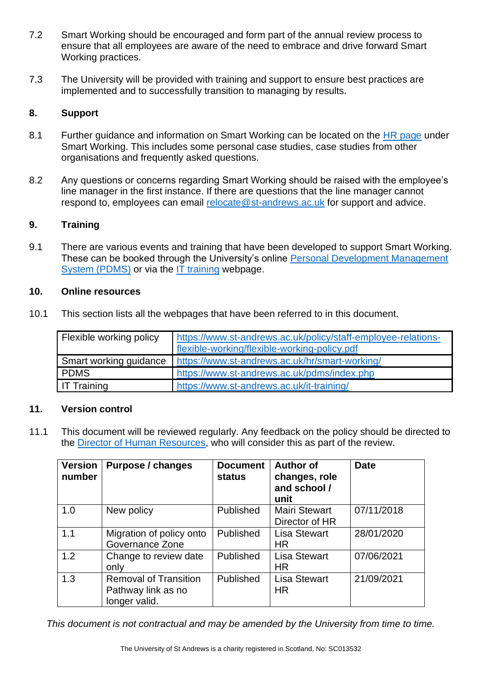- 7.2 Smart Working should be encouraged and form part of the annual review process to ensure that all employees are aware of the need to embrace and drive forward Smart Working practices.
- 7.3 The University will be provided with training and support to ensure best practices are implemented and to successfully transition to managing by results.

## <span id="page-4-0"></span>**8. Support**

- 8.1 Further guidance and information on Smart Working can be located on the [HR page](https://www.st-andrews.ac.uk/hr/smart-working/) under Smart Working. This includes some personal case studies, case studies from other organisations and frequently asked questions.
- 8.2 Any questions or concerns regarding Smart Working should be raised with the employee's line manager in the first instance. If there are questions that the line manager cannot respond to, employees can email [relocate@st-andrews.ac.uk](mailto:relocate@st-andrews.ac.uk) for support and advice.

#### <span id="page-4-1"></span>**9. Training**

9.1 There are various events and training that have been developed to support Smart Working. These can be booked through the University's online [Personal Development Management](https://www.st-andrews.ac.uk/pdms/index.php)  [System \(PDMS\)](https://www.st-andrews.ac.uk/pdms/index.php) or via the [IT training](https://www.st-andrews.ac.uk/it-training/) webpage.

#### <span id="page-4-2"></span>**10. Online resources**

10.1 This section lists all the webpages that have been referred to in this document.

| Flexible working policy | https://www.st-andrews.ac.uk/policy/staff-employee-relations-<br>flexible-working/flexible-working-policy.pdf |
|-------------------------|---------------------------------------------------------------------------------------------------------------|
|                         | Smart working guidance   https://www.st-andrews.ac.uk/hr/smart-working/                                       |
| <b>PDMS</b>             | https://www.st-andrews.ac.uk/pdms/index.php                                                                   |
| <b>IT Training</b>      | https://www.st-andrews.ac.uk/it-training/                                                                     |

#### <span id="page-4-3"></span>**11. Version control**

11.1 This document will be reviewed regularly. Any feedback on the policy should be directed to the **Director of Human Resources**, who will consider this as part of the review.

| <b>Version</b><br>number | <b>Purpose / changes</b>                                            | <b>Document</b><br>status | <b>Author of</b><br>changes, role<br>and school /<br>unit | <b>Date</b> |
|--------------------------|---------------------------------------------------------------------|---------------------------|-----------------------------------------------------------|-------------|
| 1.0                      | New policy                                                          | Published                 | <b>Mairi Stewart</b><br>Director of HR                    | 07/11/2018  |
| 1.1                      | Migration of policy onto<br>Governance Zone                         | Published                 | <b>Lisa Stewart</b><br><b>HR</b>                          | 28/01/2020  |
| 1.2                      | Change to review date<br>only                                       | Published                 | <b>Lisa Stewart</b><br><b>HR</b>                          | 07/06/2021  |
| 1.3                      | <b>Removal of Transition</b><br>Pathway link as no<br>longer valid. | Published                 | <b>Lisa Stewart</b><br><b>HR</b>                          | 21/09/2021  |

*This document is not contractual and may be amended by the University from time to time.*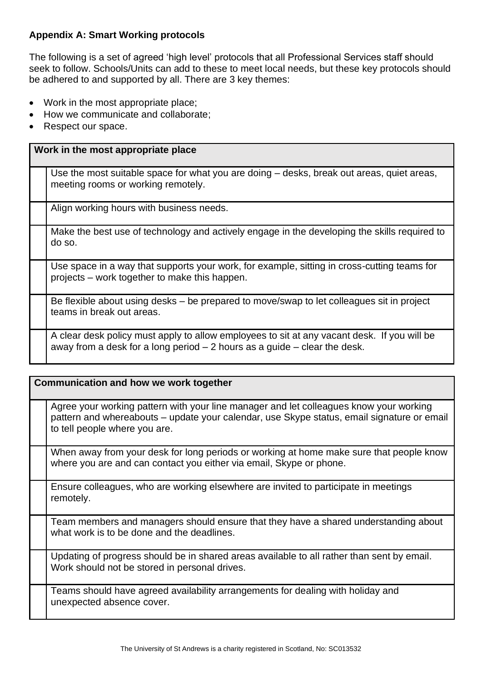## <span id="page-5-0"></span>**Appendix A: Smart Working protocols**

The following is a set of agreed 'high level' protocols that all Professional Services staff should seek to follow. Schools/Units can add to these to meet local needs, but these key protocols should be adhered to and supported by all. There are 3 key themes:

- Work in the most appropriate place;
- How we communicate and collaborate;
- Respect our space.

### **Work in the most appropriate place**

Use the most suitable space for what you are doing – desks, break out areas, quiet areas, meeting rooms or working remotely.

Align working hours with business needs.

Make the best use of technology and actively engage in the developing the skills required to do so.

Use space in a way that supports your work, for example, sitting in cross-cutting teams for projects – work together to make this happen.

Be flexible about using desks – be prepared to move/swap to let colleagues sit in project teams in break out areas.

A clear desk policy must apply to allow employees to sit at any vacant desk. If you will be away from a desk for a long period  $-2$  hours as a quide  $-$  clear the desk.

## **Communication and how we work together**

Agree your working pattern with your line manager and let colleagues know your working pattern and whereabouts – update your calendar, use Skype status, email signature or email to tell people where you are.

When away from your desk for long periods or working at home make sure that people know where you are and can contact you either via email, Skype or phone.

Ensure colleagues, who are working elsewhere are invited to participate in meetings remotely.

Team members and managers should ensure that they have a shared understanding about what work is to be done and the deadlines.

Updating of progress should be in shared areas available to all rather than sent by email. Work should not be stored in personal drives.

Teams should have agreed availability arrangements for dealing with holiday and unexpected absence cover.